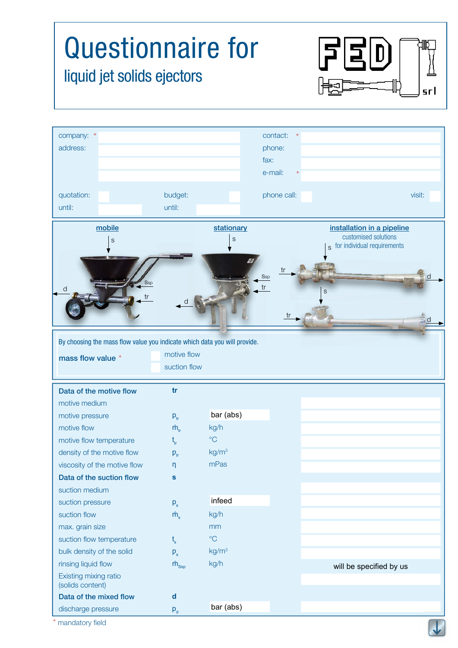## Questionnaire for  $\Xi$  $D$ liquid jet solids ejectors srl company: \* contact: \* \* address: phone: fax: e-mail: \* quotation: budget: phone call: visit: visit: until: until: mobile stationary installation in a pipeline customised solutions s s for individual requirements s tr **S**sp d **S**sp tr d s tr d tr d By choosing the mass flow value you indicate which data you will provide. motive flow mass flow value \* suction flow **tr**  Data of the motive flow motive medium bar (abs) motive pressure  $p_{tr}$ motive flow  $\dot{m}$ kg/h °C motive flow temperature t tr density of the motive flow  $kg/m<sup>3</sup>$  $p_{\rm tr}$ mPas viscosity of the motive flow η Data of the suction flow **s**  suction medium infeed suction pressure  $p_{\rm s}$ suction flow kg/h  $\dot{m}$ max. grain size mm °C suction flow temperature t s bulk density of the solid kg/m3  $p_{s}$  $\dot{m}_{\rm Ssp}$ kg/h rinsing liquid flow will be specified by us Existing mixing ratio (solids content) Data of the mixed flow **d**  bar (abs)discharge pressure  $p_{d}$

mandatory field